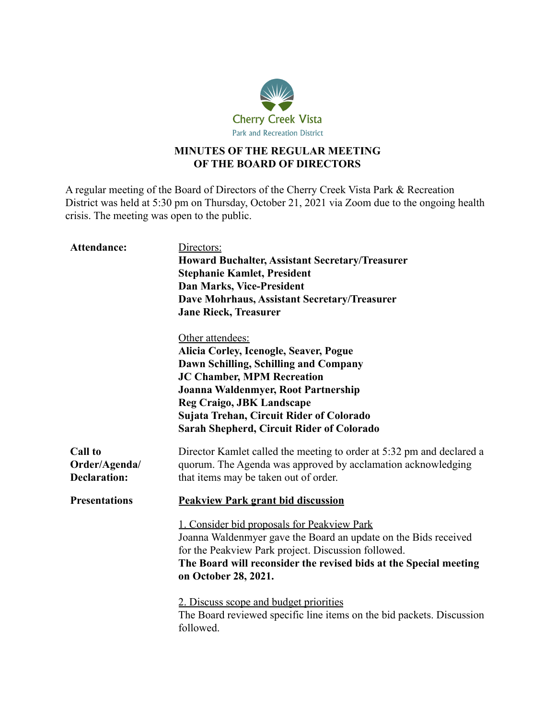

## **MINUTES OF THE REGULAR MEETING OF THE BOARD OF DIRECTORS**

A regular meeting of the Board of Directors of the Cherry Creek Vista Park & Recreation District was held at 5:30 pm on Thursday, October 21, 2021 via Zoom due to the ongoing health crisis. The meeting was open to the public.

| Attendance:                                            | Directors:<br><b>Howard Buchalter, Assistant Secretary/Treasurer</b><br><b>Stephanie Kamlet, President</b><br><b>Dan Marks, Vice-President</b><br>Dave Mohrhaus, Assistant Secretary/Treasurer<br><b>Jane Rieck, Treasurer</b>                                                                               |
|--------------------------------------------------------|--------------------------------------------------------------------------------------------------------------------------------------------------------------------------------------------------------------------------------------------------------------------------------------------------------------|
|                                                        | Other attendees:<br>Alicia Corley, Icenogle, Seaver, Pogue<br>Dawn Schilling, Schilling and Company<br><b>JC Chamber, MPM Recreation</b><br>Joanna Waldenmyer, Root Partnership<br><b>Reg Craigo, JBK Landscape</b><br>Sujata Trehan, Circuit Rider of Colorado<br>Sarah Shepherd, Circuit Rider of Colorado |
| <b>Call to</b><br>Order/Agenda/<br><b>Declaration:</b> | Director Kamlet called the meeting to order at 5:32 pm and declared a<br>quorum. The Agenda was approved by acclamation acknowledging<br>that items may be taken out of order.                                                                                                                               |
| <b>Presentations</b>                                   | <b>Peakview Park grant bid discussion</b>                                                                                                                                                                                                                                                                    |
|                                                        | 1. Consider bid proposals for Peakview Park<br>Joanna Waldenmyer gave the Board an update on the Bids received<br>for the Peakview Park project. Discussion followed.<br>The Board will reconsider the revised bids at the Special meeting<br>on October 28, 2021.                                           |
|                                                        | 2. Discuss scope and budget priorities<br>The Board reviewed specific line items on the bid packets. Discussion<br>followed.                                                                                                                                                                                 |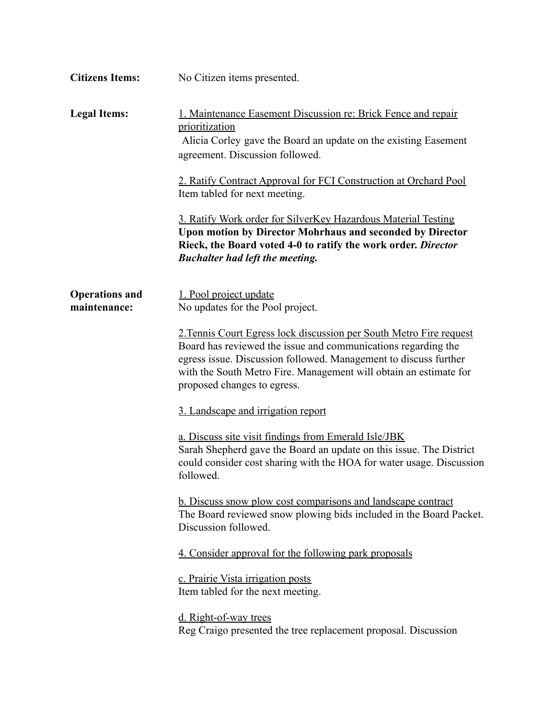| <b>Citizens Items:</b>                | No Citizen items presented.                                                                                                                                                                                                                                                                                  |
|---------------------------------------|--------------------------------------------------------------------------------------------------------------------------------------------------------------------------------------------------------------------------------------------------------------------------------------------------------------|
| <b>Legal Items:</b>                   | 1. Maintenance Easement Discussion re: Brick Fence and repair<br>prioritization<br>Alicia Corley gave the Board an update on the existing Easement<br>agreement. Discussion followed.                                                                                                                        |
|                                       | 2. Ratify Contract Approval for FCI Construction at Orchard Pool<br>Item tabled for next meeting.                                                                                                                                                                                                            |
|                                       | 3. Ratify Work order for SilverKey Hazardous Material Testing<br><b>Upon motion by Director Mohrhaus and seconded by Director</b><br>Rieck, the Board voted 4-0 to ratify the work order. Director<br><b>Buchalter had left the meeting.</b>                                                                 |
| <b>Operations and</b><br>maintenance: | 1. Pool project update<br>No updates for the Pool project.                                                                                                                                                                                                                                                   |
|                                       | 2. Tennis Court Egress lock discussion per South Metro Fire request<br>Board has reviewed the issue and communications regarding the<br>egress issue. Discussion followed. Management to discuss further<br>with the South Metro Fire. Management will obtain an estimate for<br>proposed changes to egress. |
|                                       | 3. Landscape and irrigation report                                                                                                                                                                                                                                                                           |
|                                       | a. Discuss site visit findings from Emerald Isle/JBK<br>Sarah Shepherd gave the Board an update on this issue. The District<br>could consider cost sharing with the HOA for water usage. Discussion<br>followed.                                                                                             |
|                                       | <b>b.</b> Discuss snow plow cost comparisons and landscape contract<br>The Board reviewed snow plowing bids included in the Board Packet.<br>Discussion followed.                                                                                                                                            |
|                                       | 4. Consider approval for the following park proposals                                                                                                                                                                                                                                                        |
|                                       | c. Prairie Vista irrigation posts<br>Item tabled for the next meeting.                                                                                                                                                                                                                                       |
|                                       | d. Right-of-way trees<br>Reg Craigo presented the tree replacement proposal. Discussion                                                                                                                                                                                                                      |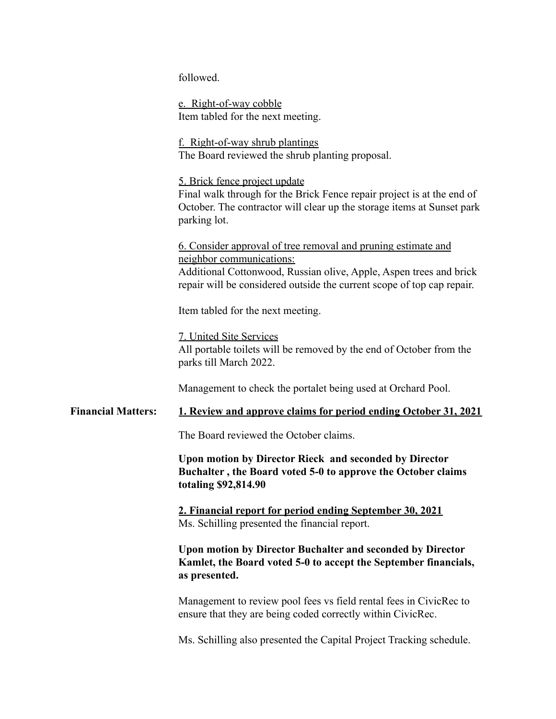followed.

e. Right-of-way cobble Item tabled for the next meeting.

f. Right-of-way shrub plantings The Board reviewed the shrub planting proposal.

5. Brick fence project update Final walk through for the Brick Fence repair project is at the end of October. The contractor will clear up the storage items at Sunset park parking lot.

6. Consider approval of tree removal and pruning estimate and neighbor communications: Additional Cottonwood, Russian olive, Apple, Aspen trees and brick repair will be considered outside the current scope of top cap repair.

Item tabled for the next meeting.

7. United Site Services

All portable toilets will be removed by the end of October from the parks till March 2022.

Management to check the portalet being used at Orchard Pool.

## **Financial Matters: 1. Review and approve claims for period ending October 31, 2021**

The Board reviewed the October claims.

**Upon motion by Director Rieck and seconded by Director Buchalter , the Board voted 5-0 to approve the October claims totaling \$92,814.90**

**2. Financial report for period ending September 30, 2021** Ms. Schilling presented the financial report.

**Upon motion by Director Buchalter and seconded by Director Kamlet, the Board voted 5-0 to accept the September financials, as presented.**

Management to review pool fees vs field rental fees in CivicRec to ensure that they are being coded correctly within CivicRec.

Ms. Schilling also presented the Capital Project Tracking schedule.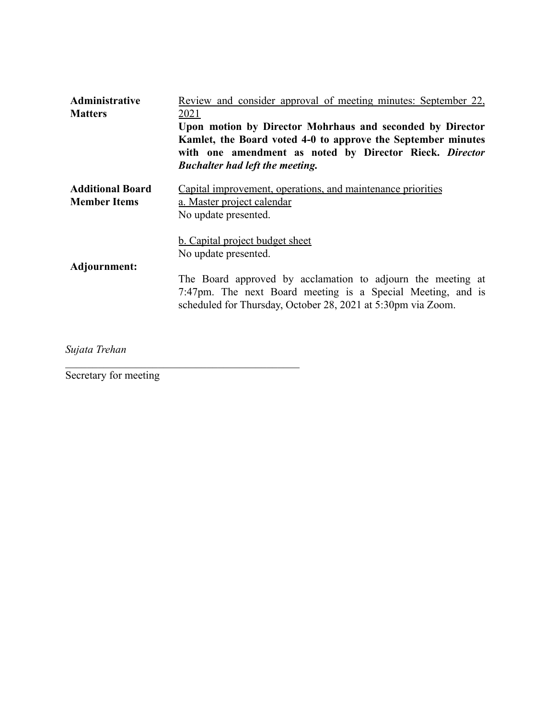| Administrative<br><b>Matters</b>               | <u>Review and consider approval of meeting minutes: September 22,</u><br><u>2021</u><br>Upon motion by Director Mohrhaus and seconded by Director<br>Kamlet, the Board voted 4-0 to approve the September minutes<br>with one amendment as noted by Director Rieck. Director<br><b>Buchalter had left the meeting.</b> |
|------------------------------------------------|------------------------------------------------------------------------------------------------------------------------------------------------------------------------------------------------------------------------------------------------------------------------------------------------------------------------|
| <b>Additional Board</b><br><b>Member Items</b> | Capital improvement, operations, and maintenance priorities<br>a. Master project calendar<br>No update presented.                                                                                                                                                                                                      |
| Adjournment:                                   | <b>b.</b> Capital project budget sheet<br>No update presented.<br>The Board approved by acclamation to adjourn the meeting at<br>7:47pm. The next Board meeting is a Special Meeting, and is<br>scheduled for Thursday, October 28, 2021 at 5:30pm via Zoom.                                                           |

*Sujata Trehan*

Secretary for meeting

 $\mathcal{L}_\text{max}$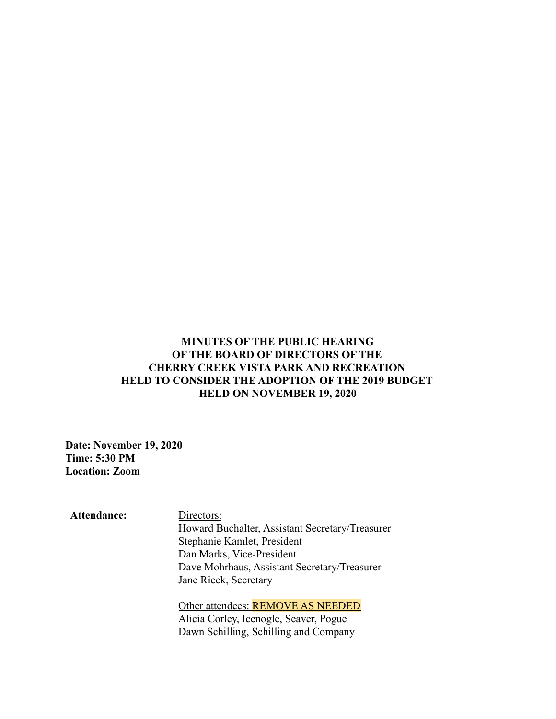## **MINUTES OF THE PUBLIC HEARING OF THE BOARD OF DIRECTORS OF THE CHERRY CREEK VISTA PARK AND RECREATION HELD TO CONSIDER THE ADOPTION OF THE 2019 BUDGET HELD ON NOVEMBER 19, 2020**

**Date: November 19, 2020 Time: 5:30 PM Location: Zoom**

**Attendance:** Directors: Howard Buchalter, Assistant Secretary/Treasurer Stephanie Kamlet, President Dan Marks, Vice-President Dave Mohrhaus, Assistant Secretary/Treasurer Jane Rieck, Secretary

Other attendees: REMOVE AS NEEDED Alicia Corley, Icenogle, Seaver, Pogue Dawn Schilling, Schilling and Company